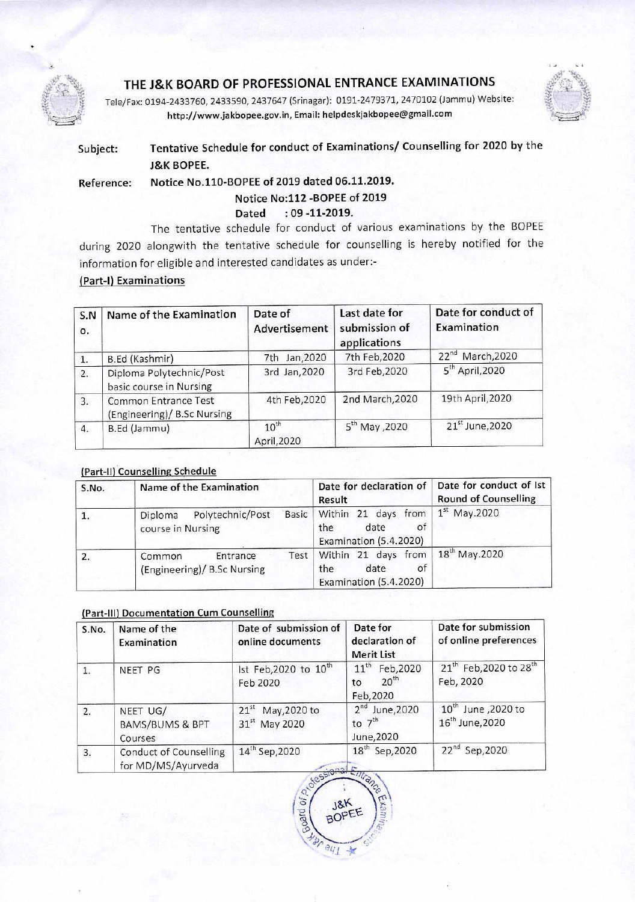

# **THE J&K BOARD OF PROFESSIONAL ENTRANCE EXAMINATIONS**

Tele/Fax: 0194-2433760, 2433590, 2437647 (Srinagar): 0191-2479371, 2470102 (Jammu) Website: http://www.jakbopee.gov.in, Email: helpdeskjakbopee@gmail.com



# **Subject: Tentative Schedule for conduct of Examinations/ Counselling for 2020 by the J&K BOPEE.**

**Reference: Notice No.110-BOPEE of 2019 dated 06.11.2019.** 

## **Notice No:112 -BOPEE of 2019**

## **Dated : 09 -11-2019.**

The tentative schedule for conduct of various examinations by the BOPEE during 2020 alongwith the tentative schedule for counselling is hereby notified for the information for eligible and interested candidates as under:-

## **(Part-I) Examinations**

| S.N<br>0.        | Name of the Examination                             | Date of<br>Advertisement | Last date for<br>submission of<br>applications | Date for conduct of<br>Examination |
|------------------|-----------------------------------------------------|--------------------------|------------------------------------------------|------------------------------------|
| 1.               | B.Ed (Kashmir)                                      | 7th Jan, 2020            | 7th Feb, 2020                                  | 22 <sup>nd</sup> March, 2020       |
| 2.               | Diploma Polytechnic/Post<br>basic course in Nursing | 3rd Jan, 2020            | 3rd Feb, 2020                                  | $5th$ April, 2020                  |
| 3.               | Common Entrance Test<br>(Engineering)/ B.Sc Nursing | 4th Feb, 2020            | 2nd March, 2020                                | 19th April, 2020                   |
| $\overline{4}$ . | B.Ed (Jammu)                                        | $10^{th}$<br>April, 2020 | 5 <sup>th</sup> May , 2020                     | 21 <sup>st</sup> June, 2020        |

### (Part-II) **Counselling Schedule**

| S.No. | Name of the Examination                                   | Date for declaration of<br>Result                                         | Date for conduct of Ist<br><b>Round of Counselling</b><br>$1st$ May.2020 |
|-------|-----------------------------------------------------------|---------------------------------------------------------------------------|--------------------------------------------------------------------------|
| 1.    | Basic<br>Polytechnic/Post<br>Diploma<br>course in Nursing | Within 21 days from<br>of<br>date<br>the<br>Examination (5.4.2020)        |                                                                          |
| 2.    | Entrance<br>Common<br>(Engineering)/ B.Sc Nursing         | Test   Within 21 days from<br>of<br>date<br>the<br>Examination (5.4.2020) | $18^{\text{th}}$ May.2020                                                |

#### **(Part-111) Documentation Cum Counselling**

| S.No.          | Name of the<br>Examination                          | Date of submission of<br>online documents     | Date for<br>declaration of<br><b>Merit List</b>               | Date for submission<br>of online preferences                   |
|----------------|-----------------------------------------------------|-----------------------------------------------|---------------------------------------------------------------|----------------------------------------------------------------|
| $\mathbf{1}$ . | NEET PG                                             | Ist Feb, 2020 to 10 <sup>th</sup><br>Feb 2020 | $11^{th}$<br>Feb, 2020<br>20 <sup>th</sup><br>to<br>Feb, 2020 | 21 <sup>th</sup> Feb, 2020 to 28 <sup>th</sup><br>Feb, 2020    |
| 2.             | NEET UG/<br><b>BAMS/BUMS &amp; BPT</b><br>Courses   | $21st$ May, 2020 to<br>31st May 2020          | $2nd$ June, 2020<br>to $7th$<br>June, 2020                    | 10 <sup>th</sup> June , 2020 to<br>16 <sup>th</sup> June, 2020 |
| 3.             | <b>Conduct of Counselling</b><br>for MD/MS/Ayurveda | 14 <sup>th</sup> Sep, 2020<br>$\frac{1}{2}$   | 18 <sup>th</sup> Sep, 2020                                    | 22nd Sep, 2020                                                 |

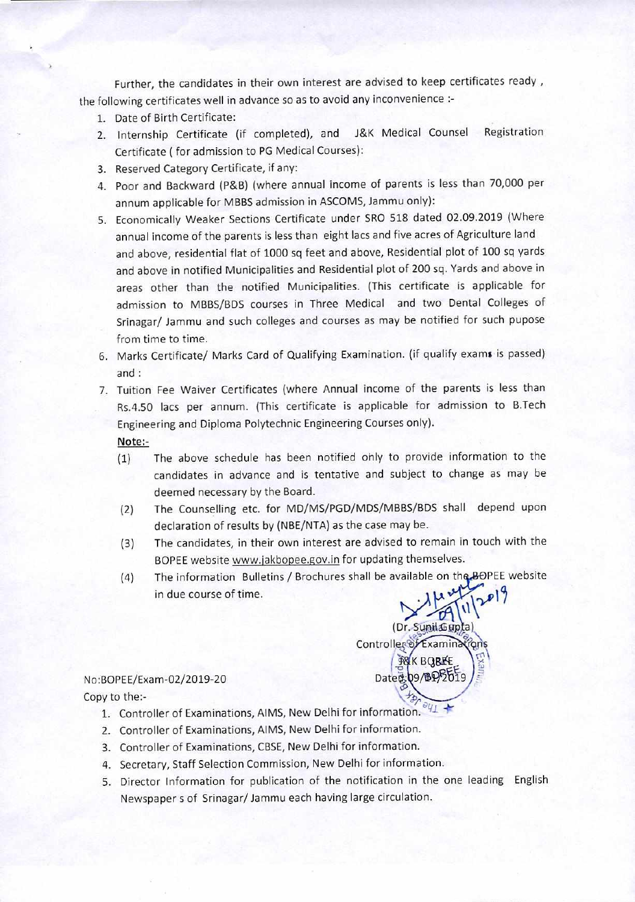Further, the candidates in their own interest are advised to keep certificates ready , the following certificates well in advance so as to avoid any inconvenience :-

- 1. Date of Birth Certificate:
- 2. Internship Certificate (if completed), and J&K Medical Counsel Registration Certificate ( for admission to PG Medical Courses):
- 3. Reserved Category Certificate, if any:
- 4. Poor and Backward (P&B) (where annual income of parents is less than 70,000 per annum applicable for MBBS admission in ASCOMS, Jammu only):
- 5. Economically Weaker Sections Certificate under SRO 518 dated 02.09.2019 (Where annual income of the parents is less than eight lacs and five acres of Agriculture land and above, residential flat of 1000 sq feet and above, Residential plot of 100 sq yards and above in notified Municipalities and Residential plot of 200 sq. Yards and above in areas other than the notified Municipalities. (This certificate is applicable for admission to MBBS/BDS courses in Three Medical and two Dental Colleges of Srinagar/ Jammu and such colleges and courses as may be notified for such pupose from time to time.
- 6. Marks Certificate/ Marks Card of Qualifying Examination. (if qualify exams is passed) and
- 7. Tuition Fee Waiver Certificates (where Annual income of the parents is less than Rs.4.50 lacs per annum. (This certificate is applicable for admission to B.Tech Engineering and Diploma Polytechnic Engineering Courses only).

Note:-

- (1) The above schedule has been notified only to provide information to the candidates in advance and is tentative and subject to change as may be deemed necessary by the Board.
- (2) The Counselling etc. for MD/MS/PGD/MDS/MBBS/BDS shall depend upon declaration of results by (NBE/NTA) as the case may be.
- The candidates, in their own interest are advised to remain in touch with the BOPEE website www.jakbopee.gov.in for updating themselves. (3)
- (4) The information Bulletins / Brochures shall be available on the BOPEE website in due course of time.



No:BOPEE/Exam-02/2019-20

- Copy to the:-  $\mathcal{L}_{\mathcal{D}_{\mathcal{C}_{\epsilon}}}$ 1. Controller of Examinations, AIMS, New Delhi for information.
	- 2. Controller of Examinations, AIMS, New Delhi for information.
	- 3. Controller of Examinations, CBSE, New Delhi for information.
	- 4. Secretary, Staff Selection Commission, New Delhi for information.
	- 5. Director Information for publication of the notification in the one leading English Newspaper s of Srinagar/ Jammu each having large circulation.